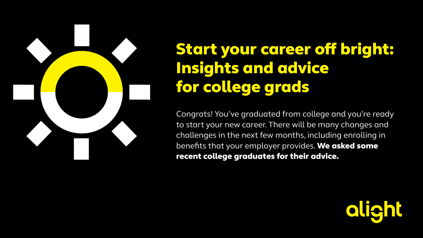

## Start your career off bright: Insights and advice for college grads

Congrats! You've graduated from college and you're ready to start your new career. There will be many changes and challenges in the next few months, including enrolling in benefits that your employer provides. We asked some recent college graduates for their advice.

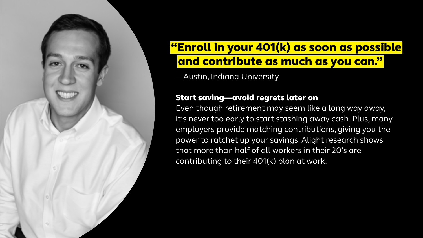

## "Enroll in your 401(k) as soon as possible   and contribute as much as you can."

—Austin, Indiana University

#### Start saving—avoid regrets later on

Even though retirement may seem like a long way away, it's never too early to start stashing away cash. Plus, many employers provide matching contributions, giving you the power to ratchet up your savings. Alight research shows that more than half of all workers in their 20's are contributing to their 401(k) plan at work.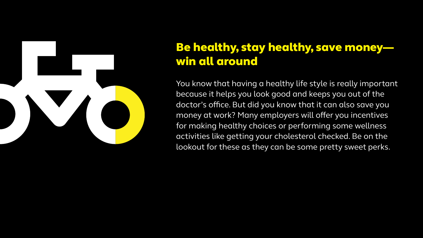

## Be healthy, stay healthy, save money win all around

You know that having a healthy life style is really important because it helps you look good and keeps you out of the doctor's office. But did you know that it can also save you money at work? Many employers will offer you incentives for making healthy choices or performing some wellness activities like getting your cholesterol checked. Be on the lookout for these as they can be some pretty sweet perks.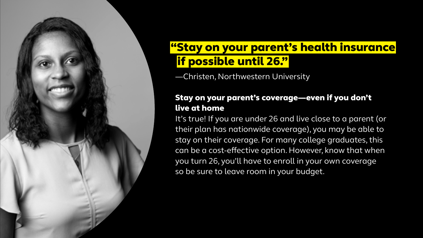

## "Stay on your parent's health insurance   if possible until 26."

—Christen, Northwestern University

### Stay on your parent's coverage—even if you don't live at home

It's true! If you are under 26 and live close to a parent (or their plan has nationwide coverage), you may be able to stay on their coverage. For many college graduates, this can be a cost-effective option. However, know that when you turn 26, you'll have to enroll in your own coverage so be sure to leave room in your budget.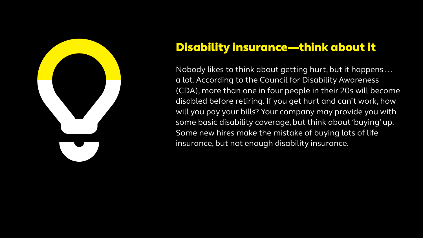

## Disability insurance—think about it

Nobody likes to think about getting hurt, but it happens . . . a lot. According to the Council for Disability Awareness (CDA), more than one in four people in their 20s will become disabled before retiring. If you get hurt and can't work, how will you pay your bills? Your company may provide you with some basic disability coverage, but think about 'buying' up. Some new hires make the mistake of buying lots of life insurance, but not enough disability insurance.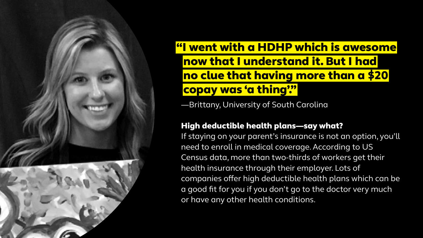

## "I went with a HDHP which is awesome   now that I understand it. But I had   no clue that having more than a \$20   copay was 'a thing'."

—Brittany, University of South Carolina

#### High deductible health plans—say what?

If staying on your parent's insurance is not an option, you'll need to enroll in medical coverage. According to US Census data, more than two-thirds of workers get their health insurance through their employer. Lots of companies offer high deductible health plans which can be a good fit for you if you don't go to the doctor very much or have any other health conditions.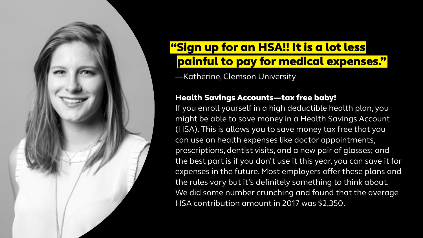

## "Sign up for an HSA!! It is a lot less   painful to pay for medical expenses."

—Katherine, Clemson University

#### Health Savings Accounts—tax free baby!

If you enroll yourself in a high deductible health plan, you might be able to save money in a Health Savings Account (HSA). This is allows you to save money tax free that you can use on health expenses like doctor appointments, prescriptions, dentist visits, and a new pair of glasses; and the best part is if you don't use it this year, you can save it for expenses in the future. Most employers offer these plans and the rules vary but it's definitely something to think about. [We did some number crunching and found that the average](https://ideas.alight.com/health-wealth-solutions/hsas-and-401-k-s-a-holistic-approach-to-health-and-retirement-benefits)  [HSA contribution amount in 2017 was \\$2,350.](https://ideas.alight.com/health-wealth-solutions/hsas-and-401-k-s-a-holistic-approach-to-health-and-retirement-benefits)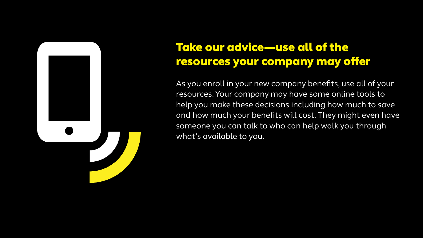## Take our advice—use all of the resources your company may offer

As you enroll in your new company benefits, use all of your resources. Your company may have some online tools to help you make these decisions including how much to save and how much your benefits will cost. They might even have someone you can talk to who can help walk you through what's available to you.